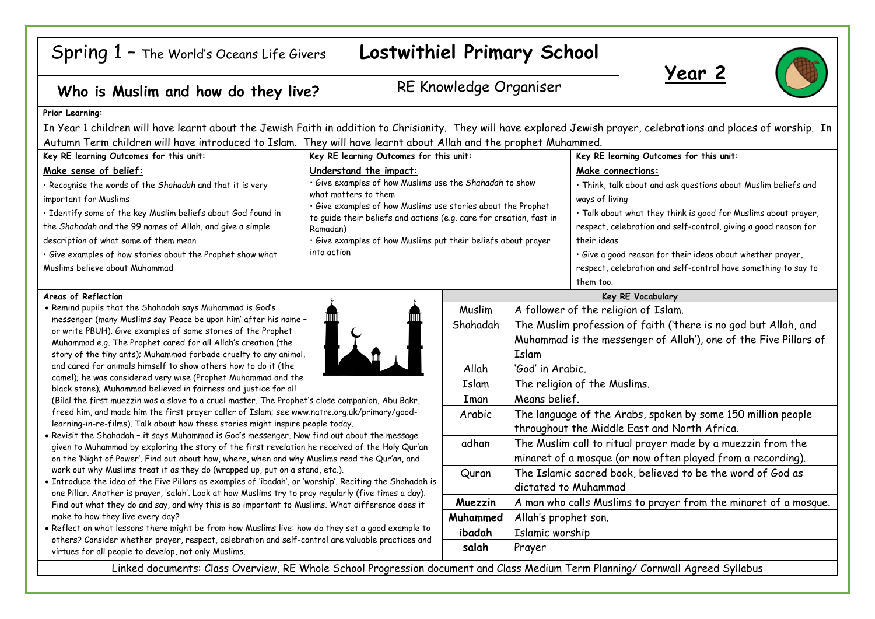## Spring 1 – The World's Oceans Life Givers **Lostwithiel Primary School**

# Who is Muslim and how do they live? RE Knowledge Organiser





### **Prior Learning:**

In Year 1 children will have learnt about the Jewish Faith in addition to Chrisianity. They will have explored Jewish prayer, celebrations and places of worship. In Autumn Term children will have introduced to Islam. They will have learnt about Allah and the prophet Muhammed.

| Key RE learning Outcomes for this unit:                      | Key RE learning Outcomes for this unit:                                                                                                                                                                                | Key RE learning Outcomes for this unit:                         |
|--------------------------------------------------------------|------------------------------------------------------------------------------------------------------------------------------------------------------------------------------------------------------------------------|-----------------------------------------------------------------|
| Make sense of belief:                                        | Understand the impact:                                                                                                                                                                                                 | Make connections:                                               |
| · Recognise the words of the Shahadah and that it is very    | · Give examples of how Muslims use the Shahadah to show<br>what matters to them<br>· Give examples of how Muslims use stories about the Prophet<br>to guide their beliefs and actions (e.g. care for creation, fast in | · Think, talk about and ask questions about Muslim beliefs and  |
| important for Muslims                                        |                                                                                                                                                                                                                        | ways of living                                                  |
| · Identify some of the key Muslim beliefs about God found in |                                                                                                                                                                                                                        | · Talk about what they think is good for Muslims about prayer,  |
| the Shahadah and the 99 names of Allah, and give a simple    | Ramadan)                                                                                                                                                                                                               | respect, celebration and self-control, giving a good reason for |
| description of what some of them mean                        | · Give examples of how Muslims put their beliefs about prayer                                                                                                                                                          | their ideas                                                     |
| · Give examples of how stories about the Prophet show what   | into action                                                                                                                                                                                                            | · Give a good reason for their ideas about whether prayer,      |
| Muslims believe about Muhammad                               |                                                                                                                                                                                                                        | respect, celebration and self-control have something to say to  |
|                                                              |                                                                                                                                                                                                                        | them too.                                                       |

### **Areas of Reflection**

• Remind pupils that the Shahadah says Muhammad is God's messenger (many Muslims say 'Peace be upon him' after his name – or write PBUH). Give examples of some stories of the Prophet Muhammad e.g. The Prophet cared for all Allah's creation (the story of the tiny ants); Muhammad forbade cruelty to any animal, and cared for animals himself to show others how to do it (the camel); he was considered very wise (Prophet Muhammad and the black stone); Muhammad believed in fairness and justice for all



(Bilal the first muezzin was a slave to a cruel master. The Prophet's close companion, Abu Bakr, freed him, and made him the first prayer caller of Islam; see www.natre.org.uk/primary/goodlearning-in-re-films). Talk about how these stories might inspire people today.

- Revisit the Shahadah it says Muhammad is God's messenger. Now find out about the message given to Muhammad by exploring the story of the first revelation he received of the Holy Qur'an on the 'Night of Power'. Find out about how, where, when and why Muslims read the Qur'an, and work out why Muslims treat it as they do (wrapped up, put on a stand, etc.).
- Introduce the idea of the Five Pillars as examples of 'ibadah', or 'worship'. Reciting the Shahadah is one Pillar. Another is prayer, 'salah'. Look at how Muslims try to pray regularly (five times a day). Find out what they do and say, and why this is so important to Muslims. What difference does it make to how they live every day?
- Reflect on what lessons there might be from how Muslims live: how do they set a good example to others? Consider whether prayer, respect, celebration and self-control are valuable practices and virtues for all people to develop, not only Muslims.

|                          | them too.                                                        |  |  |
|--------------------------|------------------------------------------------------------------|--|--|
| <b>Key RE Vocabulary</b> |                                                                  |  |  |
| Muslim                   | A follower of the religion of Islam.                             |  |  |
| Shahadah                 | The Muslim profession of faith ('there is no god but Allah, and  |  |  |
|                          | Muhammad is the messenger of Allah'), one of the Five Pillars of |  |  |
|                          | Islam                                                            |  |  |
| Allah                    | 'God' in Arabic.                                                 |  |  |
| Islam                    | The religion of the Muslims.                                     |  |  |
| Iman                     | Means belief.                                                    |  |  |
| Arabic                   | The language of the Arabs, spoken by some 150 million people     |  |  |
|                          | throughout the Middle East and North Africa.                     |  |  |
| adhan                    | The Muslim call to ritual prayer made by a muezzin from the      |  |  |
|                          | minaret of a mosque (or now often played from a recording).      |  |  |
| Quran                    | The Islamic sacred book, believed to be the word of God as       |  |  |
|                          | dictated to Muhammad                                             |  |  |
| Muezzin                  | A man who calls Muslims to prayer from the minaret of a mosque.  |  |  |
| Muhammed                 | Allah's prophet son.                                             |  |  |
| ibadah                   | Islamic worship                                                  |  |  |
| salah                    | Prayer                                                           |  |  |
|                          |                                                                  |  |  |

Linked documents: Class Overview, RE Whole School Progression document and Class Medium Term Planning/ Cornwall Agreed Syllabus